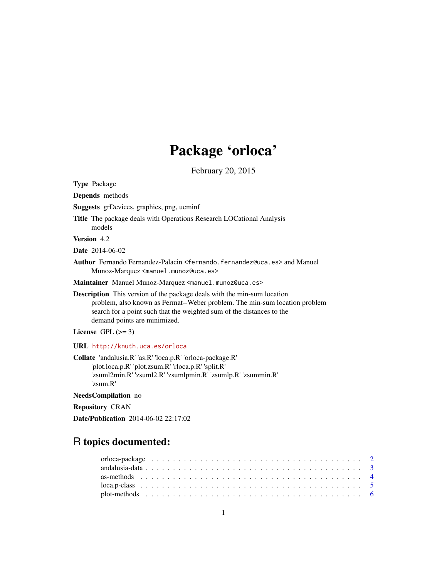# Package 'orloca'

February 20, 2015

<span id="page-0-0"></span>Type Package

Depends methods

Suggests grDevices, graphics, png, ucminf

Title The package deals with Operations Research LOCational Analysis models

Version 4.2

Date 2014-06-02

Author Fernando Fernandez-Palacin <fernando.fernandez@uca.es> and Manuel Munoz-Marquez <manuel.munoz@uca.es>

Maintainer Manuel Munoz-Marquez <manuel.munoz@uca.es>

Description This version of the package deals with the min-sum location problem, also known as Fermat--Weber problem. The min-sum location problem search for a point such that the weighted sum of the distances to the demand points are minimized.

License GPL  $(>= 3)$ 

URL <http://knuth.uca.es/orloca>

Collate 'andalusia.R' 'as.R' 'loca.p.R' 'orloca-package.R' 'plot.loca.p.R' 'plot.zsum.R' 'rloca.p.R' 'split.R' 'zsuml2min.R' 'zsuml2.R' 'zsumlpmin.R' 'zsumlp.R' 'zsummin.R' 'zsum.R'

NeedsCompilation no

Repository CRAN

Date/Publication 2014-06-02 22:17:02

# R topics documented: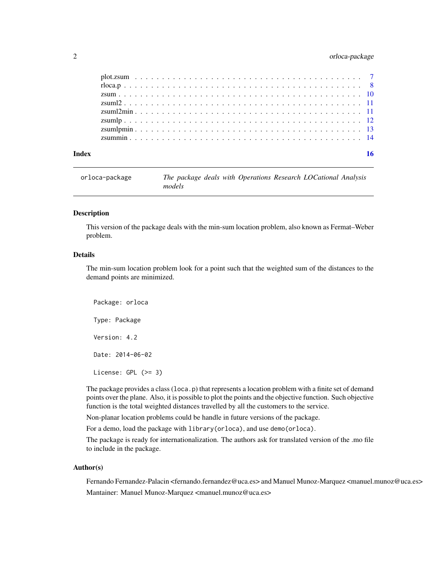# <span id="page-1-0"></span>2 orloca-package

| 16 |
|----|
|    |

<span id="page-1-1"></span>orloca-package *The package deals with Operations Research LOCational Analysis models*

#### Description

This version of the package deals with the min-sum location problem, also known as Fermat–Weber problem.

# Details

The min-sum location problem look for a point such that the weighted sum of the distances to the demand points are minimized.

Package: orloca Type: Package Version: 4.2 Date: 2014-06-02 License: GPL (>= 3)

The package provides a class (loca.p) that represents a location problem with a finite set of demand points over the plane. Also, it is possible to plot the points and the objective function. Such objective function is the total weighted distances travelled by all the customers to the service.

Non-planar location problems could be handle in future versions of the package.

For a demo, load the package with library(orloca), and use demo(orloca).

The package is ready for internationalization. The authors ask for translated version of the .mo file to include in the package.

#### Author(s)

Fernando Fernandez-Palacin <fernando.fernandez@uca.es> and Manuel Munoz-Marquez <manuel.munoz@uca.es> Mantainer: Manuel Munoz-Marquez <manuel.munoz@uca.es>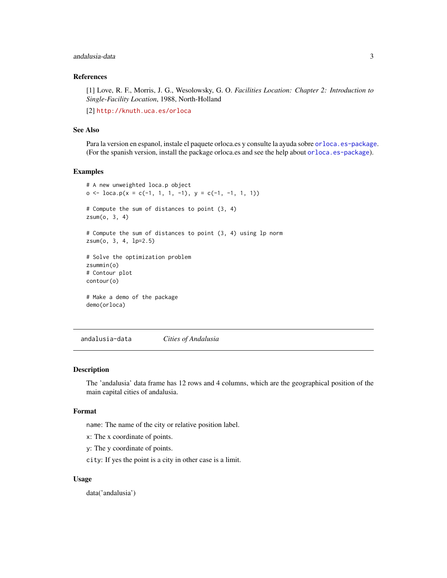# <span id="page-2-0"></span>andalusia-data 3

# References

[1] Love, R. F., Morris, J. G., Wesolowsky, G. O. *Facilities Location: Chapter 2: Introduction to Single-Facility Location*, 1988, North-Holland

[2] <http://knuth.uca.es/orloca>

# See Also

Para la version en espanol, instale el paquete orloca.es y consulte la ayuda sobre [orloca.es-package](#page-0-0). (For the spanish version, install the package orloca.es and see the help about [orloca.es-package](#page-0-0)).

#### Examples

```
# A new unweighted loca.p object
o \leq loca.p(x = c(-1, 1, 1, -1), y = c(-1, -1, 1, 1))# Compute the sum of distances to point (3, 4)
zsum(o, 3, 4)
# Compute the sum of distances to point (3, 4) using lp norm
zsum(o, 3, 4, lp=2.5)
# Solve the optimization problem
zsummin(o)
# Contour plot
contour(o)
# Make a demo of the package
demo(orloca)
```
andalusia-data *Cities of Andalusia*

#### Description

The 'andalusia' data frame has 12 rows and 4 columns, which are the geographical position of the main capital cities of andalusia.

#### Format

name: The name of the city or relative position label.

x: The x coordinate of points.

y: The y coordinate of points.

city: If yes the point is a city in other case is a limit.

#### Usage

data('andalusia')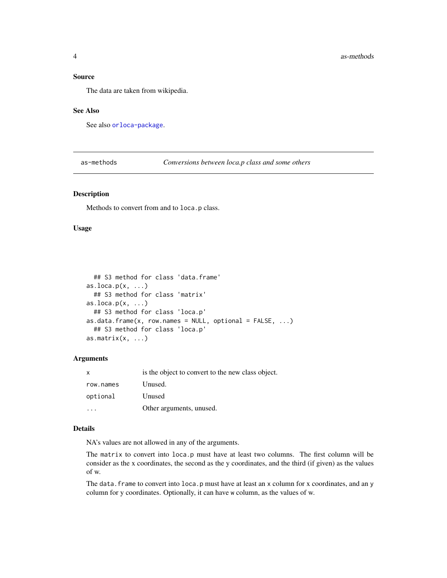#### <span id="page-3-0"></span>Source

The data are taken from wikipedia.

#### See Also

See also [orloca-package](#page-1-1).

as-methods *Conversions between loca.p class and some others*

#### Description

Methods to convert from and to loca.p class.

# Usage

```
## S3 method for class 'data.frame'
as.loca.p(x, \ldots)## S3 method for class 'matrix'
as.loca.p(x, \ldots)## S3 method for class 'loca.p'
as.data.frame(x, row.names = NULL, optional = FALSE, ...)
  ## S3 method for class 'loca.p'
as.matrix(x, \ldots)
```
#### Arguments

| $\mathsf{x}$ | is the object to convert to the new class object. |
|--------------|---------------------------------------------------|
| row.names    | Unused.                                           |
| optional     | Unused                                            |
|              | Other arguments, unused.                          |

## Details

NA's values are not allowed in any of the arguments.

The matrix to convert into loca.p must have at least two columns. The first column will be consider as the x coordinates, the second as the y coordinates, and the third (if given) as the values of w.

The data. frame to convert into  $loca.p$  must have at least an  $x$  column for  $x$  coordinates, and an  $y$ column for y coordinates. Optionally, it can have w column, as the values of w.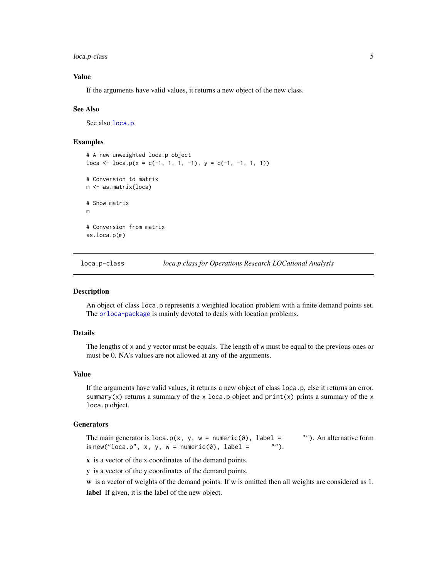<span id="page-4-0"></span>loca.p-class 5

### Value

If the arguments have valid values, it returns a new object of the new class.

#### See Also

See also [loca.p](#page-4-1).

### Examples

```
# A new unweighted loca.p object
loca \leq loca.p(x = c(-1, 1, 1, -1), y = c(-1, -1, 1, 1))# Conversion to matrix
m <- as.matrix(loca)
# Show matrix
m
# Conversion from matrix
as.loca.p(m)
```
loca.p-class *loca.p class for Operations Research LOCational Analysis*

#### <span id="page-4-1"></span>Description

An object of class loca.p represents a weighted location problem with a finite demand points set. The [orloca-package](#page-1-1) is mainly devoted to deals with location problems.

# Details

The lengths of x and y vector must be equals. The length of w must be equal to the previous ones or must be 0. NA's values are not allowed at any of the arguments.

## Value

If the arguments have valid values, it returns a new object of class loca.p, else it returns an error. summary(x) returns a summary of the x loca.p object and  $print(x)$  prints a summary of the x loca.p object.

#### **Generators**

The main generator is loca.p(x, y, w = numeric(0), label = ""). An alternative form is new("loca.p", x, v, w = numeric(0), label = ""). is new("loca.p",  $x$ ,  $y$ ,  $w =$  numeric(0), label =

x is a vector of the x coordinates of the demand points.

y is a vector of the y coordinates of the demand points.

w is a vector of weights of the demand points. If w is omitted then all weights are considered as 1. label If given, it is the label of the new object.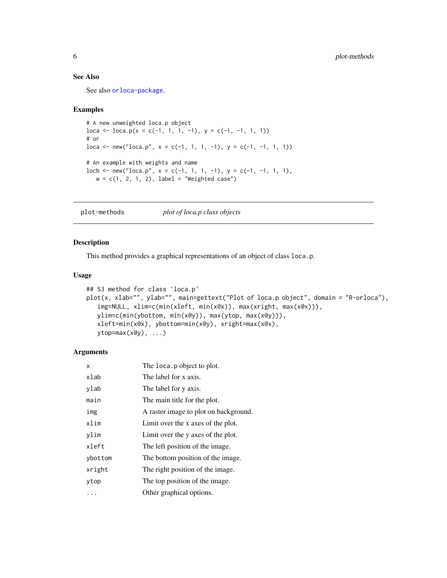# <span id="page-5-0"></span>See Also

See also [orloca-package](#page-1-1).

#### Examples

```
# A new unweighted loca.p object
loca \leftarrow loca.p(x = c(-1, 1, 1, -1), y = c(-1, -1, 1, 1))# or
loca \leftarrow new("loca.p", x = c(-1, 1, 1, -1), y = c(-1, -1, 1, 1))# An example with weights and name
\text{locb} \leftarrow \text{new("loca.p", x = c(-1, 1, 1, -1), y = c(-1, -1, 1, 1),w = c(1, 2, 1, 2), label = "Weighted case")
```
plot-methods *plot of loca.p class objects*

#### <span id="page-5-1"></span>Description

This method provides a graphical representations of an object of class loca.p.

#### Usage

```
## S3 method for class 'loca.p'
plot(x, xlab="", ylab="", main=gettext("Plot of loca.p object", domain = "R-orloca"),
   img=NULL, xlim=c(min(xleft, min(x@x)), max(xright, max(x@x))),
   ylim=c(min(ybottom, min(x@y)), max(ytop, max(x@y))),
   xleft=min(x@x), ybottom=min(x@y), xright=max(x@x),
   ytop=max(x@y), ...)
```

| x       | The loca. p object to plot.           |
|---------|---------------------------------------|
| xlab    | The label for x axis.                 |
| ylab    | The label for y axis.                 |
| main    | The main title for the plot.          |
| img     | A raster image to plot on background. |
| xlim    | Limit over the x axes of the plot.    |
| vlim    | Limit over the y axes of the plot.    |
| xleft   | The left position of the image.       |
| ybottom | The bottom position of the image.     |
| xright  | The right position of the image.      |
| ytop    | The top position of the image.        |
|         | Other graphical options.              |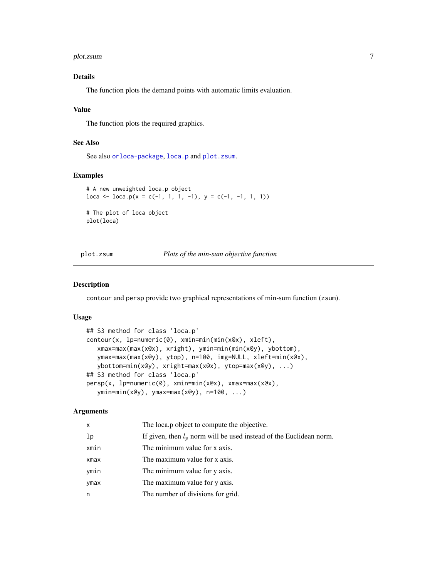#### <span id="page-6-0"></span>plot.zsum 7

# Details

The function plots the demand points with automatic limits evaluation.

#### Value

The function plots the required graphics.

#### See Also

See also [orloca-package](#page-1-1), [loca.p](#page-4-1) and [plot.zsum](#page-6-1).

#### Examples

```
# A new unweighted loca.p object
loca \leftarrow loca.p(x = c(-1, 1, 1, -1), y = c(-1, -1, 1, 1))# The plot of loca object
plot(loca)
```
<span id="page-6-1"></span>plot.zsum *Plots of the min-sum objective function*

#### Description

contour and persp provide two graphical representations of min-sum function (zsum).

#### Usage

```
## S3 method for class 'loca.p'
contour(x, lp=numeric(0), xmin=min(min(x@x), xleft),
   xmax=max(max(x@x), xright), ymin=min(min(x@y), ybottom),
   ymax=max(max(x@y), ytop), n=100, img=NULL, xleft=min(x@x),
   ybottom=min(x@y), xright=max(x@x), ytop=max(x@y), ...)
## S3 method for class 'loca.p'
persp(x, lp=numeric(0), xmin=min(x@x), xmax=max(x@x),
   ymin=min(x@y), ymax=max(x@y), n=100, ...)
```

| x    | The loca.p object to compute the objective.                           |
|------|-----------------------------------------------------------------------|
| lp   | If given, then $l_p$ norm will be used instead of the Euclidean norm. |
| xmin | The minimum value for x axis.                                         |
| xmax | The maximum value for x axis.                                         |
| ymin | The minimum value for y axis.                                         |
| ymax | The maximum value for y axis.                                         |
| n    | The number of divisions for grid.                                     |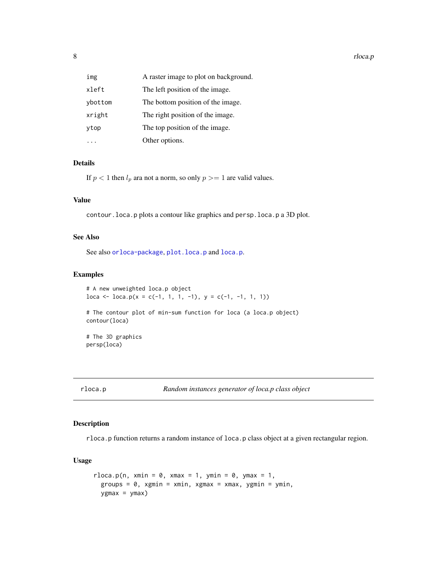<span id="page-7-0"></span>

| img     | A raster image to plot on background. |
|---------|---------------------------------------|
| xleft   | The left position of the image.       |
| ybottom | The bottom position of the image.     |
| xright  | The right position of the image.      |
| ytop    | The top position of the image.        |
|         | Other options.                        |

#### Details

If  $p < 1$  then  $l_p$  ara not a norm, so only  $p \geq 1$  are valid values.

#### Value

contour.loca.p plots a contour like graphics and persp.loca.p a 3D plot.

# See Also

See also [orloca-package](#page-1-1), [plot.loca.p](#page-5-1) and [loca.p](#page-4-1).

#### Examples

```
# A new unweighted loca.p object
loca \leftarrow loca.p(x = c(-1, 1, 1, -1), y = c(-1, -1, 1, 1))# The contour plot of min-sum function for loca (a loca.p object)
contour(loca)
# The 3D graphics
persp(loca)
```
# Description

rloca.p function returns a random instance of loca.p class object at a given rectangular region.

#### Usage

```
rloca.p(n, xmin = 0, xmax = 1, ymin = 0, ymax = 1,groups = 0, xgmin = xmin, xgmax = xmax, ygmin = ymin,
 ygmax = ymax)
```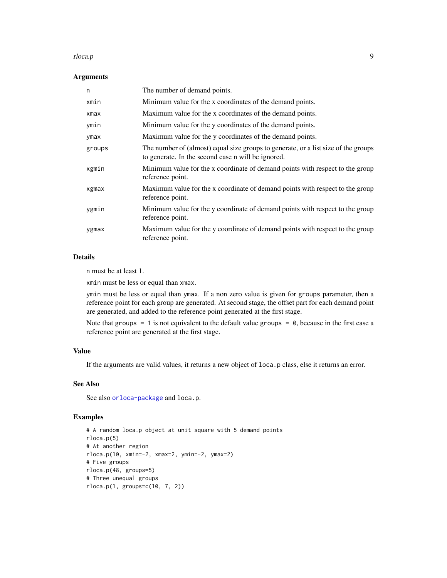#### rloca.p 9

#### Arguments

| n      | The number of demand points.                                                                                                             |
|--------|------------------------------------------------------------------------------------------------------------------------------------------|
| xmin   | Minimum value for the x coordinates of the demand points.                                                                                |
| xmax   | Maximum value for the x coordinates of the demand points.                                                                                |
| ymin   | Minimum value for the y coordinates of the demand points.                                                                                |
| ymax   | Maximum value for the y coordinates of the demand points.                                                                                |
| groups | The number of (almost) equal size groups to generate, or a list size of the groups<br>to generate. In the second case n will be ignored. |
| xgmin  | Minimum value for the x coordinate of demand points with respect to the group<br>reference point.                                        |
| xgmax  | Maximum value for the x coordinate of demand points with respect to the group<br>reference point.                                        |
| ygmin  | Minimum value for the y coordinate of demand points with respect to the group<br>reference point.                                        |
| ygmax  | Maximum value for the y coordinate of demand points with respect to the group<br>reference point.                                        |

# Details

n must be at least 1.

xmin must be less or equal than xmax.

ymin must be less or equal than ymax. If a non zero value is given for groups parameter, then a reference point for each group are generated. At second stage, the offset part for each demand point are generated, and added to the reference point generated at the first stage.

Note that groups  $= 1$  is not equivalent to the default value groups  $= 0$ , because in the first case a reference point are generated at the first stage.

# Value

If the arguments are valid values, it returns a new object of loca.p class, else it returns an error.

# See Also

See also [orloca-package](#page-1-1) and loca.p.

# Examples

```
# A random loca.p object at unit square with 5 demand points
rloca.p(5)
# At another region
rloca.p(10, xmin=-2, xmax=2, ymin=-2, ymax=2)
# Five groups
rloca.p(48, groups=5)
# Three unequal groups
rloca.p(1, groups=c(10, 7, 2))
```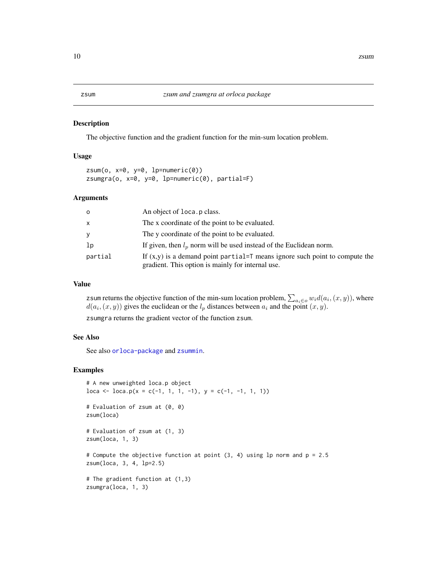#### <span id="page-9-2"></span><span id="page-9-1"></span><span id="page-9-0"></span>Description

The objective function and the gradient function for the min-sum location problem.

### Usage

```
zsum(o, x=0, y=0, 1p=numeric(0))
zsumgra(o, x=0, y=0, lp=numeric(0), partial=F)
```
#### Arguments

| $\circ$      | An object of loca. p class.                                                                                                        |
|--------------|------------------------------------------------------------------------------------------------------------------------------------|
| $\mathsf{x}$ | The x coordinate of the point to be evaluated.                                                                                     |
| y            | The y coordinate of the point to be evaluated.                                                                                     |
| 1p           | If given, then $l_n$ norm will be used instead of the Euclidean norm.                                                              |
| partial      | If $(x,y)$ is a demand point partial=T means ignore such point to compute the<br>gradient. This option is mainly for internal use. |

#### Value

z sum returns the objective function of the min-sum location problem,  $\sum_{a_i \in o} w_i d(a_i, (x, y))$ , where  $d(a_i, (x, y))$  gives the euclidean or the  $l_p$  distances between  $a_i$  and the point  $(x, y)$ .

zsumgra returns the gradient vector of the function zsum.

# See Also

See also [orloca-package](#page-1-1) and [zsummin](#page-13-1).

#### Examples

```
# A new unweighted loca.p object
loca <- loca.p(x = c(-1, 1, 1, -1), y = c(-1, -1, 1, 1))
# Evaluation of zsum at (0, 0)
zsum(loca)
# Evaluation of zsum at (1, 3)
zsum(loca, 1, 3)
# Compute the objective function at point (3, 4) using lp norm and p = 2.5zsum(loca, 3, 4, lp=2.5)
# The gradient function at (1,3)
zsumgra(loca, 1, 3)
```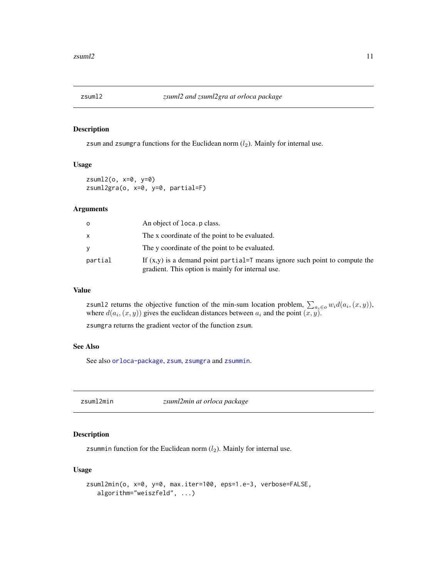<span id="page-10-0"></span>

### Description

zsum and zsumgra functions for the Euclidean norm  $(l_2)$ . Mainly for internal use.

#### Usage

zsuml2(o, x=0, y=0) zsuml2gra(o, x=0, y=0, partial=F)

#### Arguments

| $\circ$ | An object of loca. p class.                                                                                                              |
|---------|------------------------------------------------------------------------------------------------------------------------------------------|
| X       | The x coordinate of the point to be evaluated.                                                                                           |
| V       | The y coordinate of the point to be evaluated.                                                                                           |
| partial | If $(x,y)$ is a demand point partial= $\top$ means ignore such point to compute the<br>gradient. This option is mainly for internal use. |

#### Value

zsum12 returns the objective function of the min-sum location problem,  $\sum_{a_i \in o} w_i d(a_i, (x, y))$ , where  $d(a_i, (x, y))$  gives the euclidean distances between  $a_i$  and the point  $(x, y)$ .

zsumgra returns the gradient vector of the function zsum.

## See Also

See also [orloca-package](#page-1-1), [zsum](#page-9-1), [zsumgra](#page-9-2) and [zsummin](#page-13-1).

zsuml2min *zsuml2min at orloca package*

# Description

zsummin function for the Euclidean norm  $(l_2)$ . Mainly for internal use.

#### Usage

```
zsuml2min(o, x=0, y=0, max.iter=100, eps=1.e-3, verbose=FALSE,
   algorithm="weiszfeld", ...)
```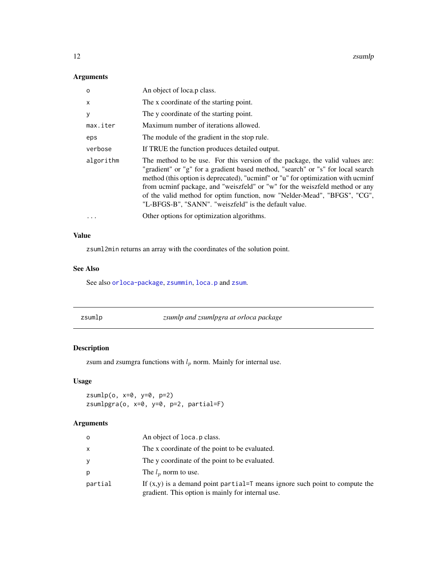<span id="page-11-0"></span>12 zsumlp

# Arguments

| $\circ$   | An object of loca.p class.                                                                                                                                                                                                                                                                                                                                                                                                                                              |
|-----------|-------------------------------------------------------------------------------------------------------------------------------------------------------------------------------------------------------------------------------------------------------------------------------------------------------------------------------------------------------------------------------------------------------------------------------------------------------------------------|
| x         | The x coordinate of the starting point.                                                                                                                                                                                                                                                                                                                                                                                                                                 |
| У         | The y coordinate of the starting point.                                                                                                                                                                                                                                                                                                                                                                                                                                 |
| max.iter  | Maximum number of iterations allowed.                                                                                                                                                                                                                                                                                                                                                                                                                                   |
| eps       | The module of the gradient in the stop rule.                                                                                                                                                                                                                                                                                                                                                                                                                            |
| verbose   | If TRUE the function produces detailed output.                                                                                                                                                                                                                                                                                                                                                                                                                          |
| algorithm | The method to be use. For this version of the package, the valid values are:<br>"gradient" or "g" for a gradient based method, "search" or "s" for local search<br>method (this option is deprecated), "ucminf" or "u" for optimization with ucminf<br>from ucminf package, and "weiszfeld" or "w" for the weiszfeld method or any<br>of the valid method for optim function, now "Nelder-Mead", "BFGS", "CG",<br>"L-BFGS-B", "SANN". "weiszfeld" is the default value. |
| $\ddotsc$ | Other options for optimization algorithms.                                                                                                                                                                                                                                                                                                                                                                                                                              |

#### Value

zsuml2min returns an array with the coordinates of the solution point.

### See Also

See also [orloca-package](#page-1-1), [zsummin](#page-13-1), [loca.p](#page-4-1) and [zsum](#page-9-1).

| zsumlp | zsumlp and zsumlpgra at orloca package |  |
|--------|----------------------------------------|--|
|        |                                        |  |

# Description

zsum and zsumgra functions with  $l_p$  norm. Mainly for internal use.

# Usage

```
zsumlp(o, x=0, y=0, p=2)
zsumlpgra(o, x=0, y=0, p=2, partial=F)
```

| o       | An object of loca. p class.                                                                                                        |
|---------|------------------------------------------------------------------------------------------------------------------------------------|
| x       | The x coordinate of the point to be evaluated.                                                                                     |
|         | The y coordinate of the point to be evaluated.                                                                                     |
| D       | The $l_n$ norm to use.                                                                                                             |
| partial | If $(x,y)$ is a demand point partial=T means ignore such point to compute the<br>gradient. This option is mainly for internal use. |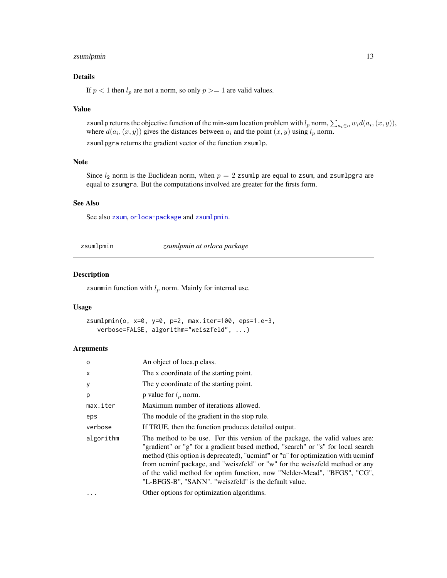# <span id="page-12-0"></span>zsumlpmin 13

# Details

If  $p < 1$  then  $l_p$  are not a norm, so only  $p \geq 1$  are valid values.

#### Value

zsumlp returns the objective function of the min-sum location problem with  $l_p$  norm,  $\sum_{a_i \in o} w_i d(a_i, (x, y))$ , where  $d(a_i, (x, y))$  gives the distances between  $a_i$  and the point  $(x, y)$  using  $l_p$  norm. zsumlpgra returns the gradient vector of the function zsumlp.

#### Note

Since  $l_2$  norm is the Euclidean norm, when  $p = 2$  zsumlp are equal to zsum, and zsumlpgra are equal to zsumgra. But the computations involved are greater for the firsts form.

#### See Also

See also [zsum](#page-9-1), [orloca-package](#page-1-1) and [zsumlpmin](#page-12-1).

<span id="page-12-1"></span>zsumlpmin *zsumlpmin at orloca package*

#### Description

zsummin function with  $l_p$  norm. Mainly for internal use.

#### Usage

```
zsumlpmin(o, x=0, y=0, p=2, max.iter=100, eps=1.e-3,
   verbose=FALSE, algorithm="weiszfeld", ...)
```

| $\circ$      | An object of loca.p class.                                                                                                                                                                                                                                                                                                                                                                                                                                              |
|--------------|-------------------------------------------------------------------------------------------------------------------------------------------------------------------------------------------------------------------------------------------------------------------------------------------------------------------------------------------------------------------------------------------------------------------------------------------------------------------------|
| $\mathsf{x}$ | The x coordinate of the starting point.                                                                                                                                                                                                                                                                                                                                                                                                                                 |
| У            | The y coordinate of the starting point.                                                                                                                                                                                                                                                                                                                                                                                                                                 |
| p            | p value for $l_p$ norm.                                                                                                                                                                                                                                                                                                                                                                                                                                                 |
| max.iter     | Maximum number of iterations allowed.                                                                                                                                                                                                                                                                                                                                                                                                                                   |
| eps          | The module of the gradient in the stop rule.                                                                                                                                                                                                                                                                                                                                                                                                                            |
| verbose      | If TRUE, then the function produces detailed output.                                                                                                                                                                                                                                                                                                                                                                                                                    |
| algorithm    | The method to be use. For this version of the package, the valid values are:<br>"gradient" or "g" for a gradient based method, "search" or "s" for local search<br>method (this option is deprecated), "ucminf" or "u" for optimization with ucminf<br>from ucminf package, and "weiszfeld" or "w" for the weiszfeld method or any<br>of the valid method for optim function, now "Nelder-Mead", "BFGS", "CG",<br>"L-BFGS-B", "SANN". "weiszfeld" is the default value. |
|              | Other options for optimization algorithms.                                                                                                                                                                                                                                                                                                                                                                                                                              |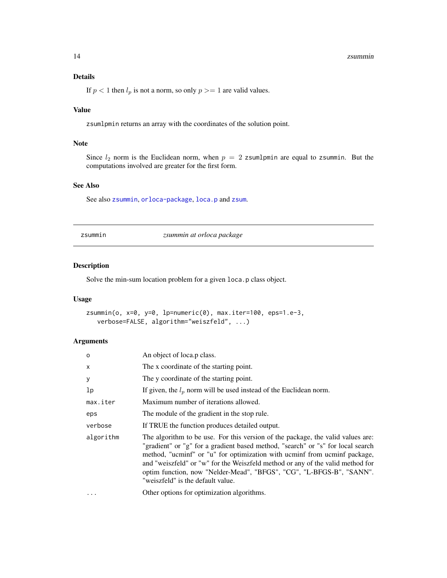#### <span id="page-13-0"></span>14 zsummin

# Details

If  $p < 1$  then  $l_p$  is not a norm, so only  $p \geq 1$  are valid values.

# Value

zsumlpmin returns an array with the coordinates of the solution point.

#### Note

Since  $l_2$  norm is the Euclidean norm, when  $p = 2$  zsumlpmin are equal to zsummin. But the computations involved are greater for the first form.

# See Also

See also [zsummin](#page-13-1), [orloca-package](#page-1-1), [loca.p](#page-4-1) and [zsum](#page-9-1).

<span id="page-13-1"></span>

| zsummın |  |
|---------|--|
|         |  |

zsummin *zsummin at orloca package*

#### Description

Solve the min-sum location problem for a given loca.p class object.

# Usage

```
zsummin(o, x=0, y=0, lp=numeric(0), max.iter=100, eps=1.e-3,
  verbose=FALSE, algorithm="weiszfeld", ...)
```

| O         | An object of loca.p class.                                                                                                                                                                                                                                                                                                                                                                                                                     |
|-----------|------------------------------------------------------------------------------------------------------------------------------------------------------------------------------------------------------------------------------------------------------------------------------------------------------------------------------------------------------------------------------------------------------------------------------------------------|
| X         | The x coordinate of the starting point.                                                                                                                                                                                                                                                                                                                                                                                                        |
| У         | The y coordinate of the starting point.                                                                                                                                                                                                                                                                                                                                                                                                        |
| 1p        | If given, the $l_p$ norm will be used instead of the Euclidean norm.                                                                                                                                                                                                                                                                                                                                                                           |
| max.iter  | Maximum number of iterations allowed.                                                                                                                                                                                                                                                                                                                                                                                                          |
| eps       | The module of the gradient in the stop rule.                                                                                                                                                                                                                                                                                                                                                                                                   |
| verbose   | If TRUE the function produces detailed output.                                                                                                                                                                                                                                                                                                                                                                                                 |
| algorithm | The algorithm to be use. For this version of the package, the valid values are:<br>"gradient" or "g" for a gradient based method, "search" or "s" for local search<br>method, "ucminf" or "u" for optimization with ucminf from ucminf package,<br>and "weiszfeld" or "w" for the Weiszfeld method or any of the valid method for<br>optim function, now "Nelder-Mead", "BFGS", "CG", "L-BFGS-B", "SANN".<br>"weiszfeld" is the default value. |
| $\cdots$  | Other options for optimization algorithms.                                                                                                                                                                                                                                                                                                                                                                                                     |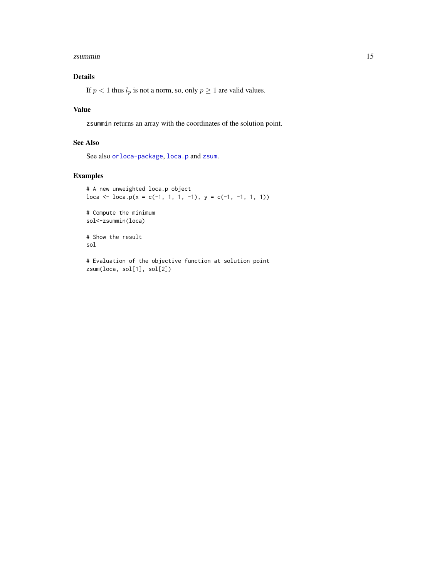#### <span id="page-14-0"></span>zsummin the contract of the contract of the contract of the contract of the contract of the contract of the contract of the contract of the contract of the contract of the contract of the contract of the contract of the co

# Details

If  $p < 1$  thus  $l_p$  is not a norm, so, only  $p \ge 1$  are valid values.

# Value

zsummin returns an array with the coordinates of the solution point.

# See Also

See also [orloca-package](#page-1-1), [loca.p](#page-4-1) and [zsum](#page-9-1).

# Examples

```
# A new unweighted loca.p object
loca <- loca.p(x = c(-1, 1, 1, -1), y = c(-1, -1, 1, 1))
```
# Compute the minimum sol<-zsummin(loca)

# Show the result sol

# Evaluation of the objective function at solution point zsum(loca, sol[1], sol[2])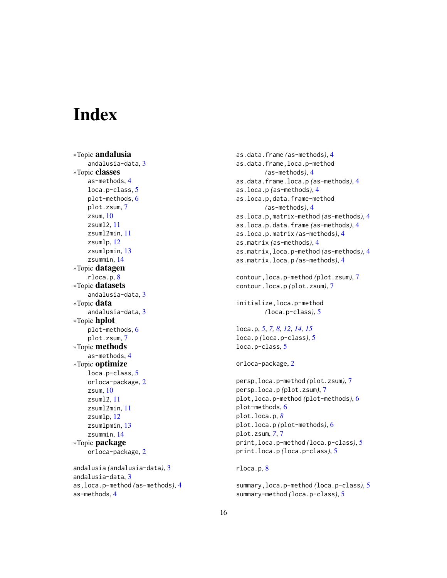# <span id="page-15-0"></span>**Index**

∗Topic andalusia andalusia-data, [3](#page-2-0) ∗Topic classes as-methods, [4](#page-3-0) loca.p-class, [5](#page-4-0) plot-methods, [6](#page-5-0) plot.zsum, [7](#page-6-0) zsum, [10](#page-9-0) zsuml2, [11](#page-10-0) zsuml2min, [11](#page-10-0) zsumlp, [12](#page-11-0) zsumlpmin, [13](#page-12-0) zsummin, [14](#page-13-0) ∗Topic datagen rloca.p, [8](#page-7-0) ∗Topic datasets andalusia-data, [3](#page-2-0) ∗Topic data andalusia-data, [3](#page-2-0) ∗Topic hplot plot-methods, [6](#page-5-0) plot.zsum, [7](#page-6-0) ∗Topic methods as-methods, [4](#page-3-0) ∗Topic optimize loca.p-class, [5](#page-4-0) orloca-package, [2](#page-1-0) zsum, [10](#page-9-0) zsuml2, [11](#page-10-0) zsuml2min, [11](#page-10-0) zsumlp, [12](#page-11-0) zsumlpmin, [13](#page-12-0) zsummin, [14](#page-13-0) ∗Topic package orloca-package, [2](#page-1-0) andalusia *(*andalusia-data*)*, [3](#page-2-0) andalusia-data, [3](#page-2-0) as,loca.p-method *(*as-methods*)*, [4](#page-3-0)

as-methods, [4](#page-3-0)

as.data.frame *(*as-methods*)*, [4](#page-3-0) as.data.frame,loca.p-method *(*as-methods*)*, [4](#page-3-0) as.data.frame.loca.p *(*as-methods*)*, [4](#page-3-0) as.loca.p *(*as-methods*)*, [4](#page-3-0) as.loca.p,data.frame-method *(*as-methods*)*, [4](#page-3-0) as.loca.p,matrix-method *(*as-methods*)*, [4](#page-3-0) as.loca.p.data.frame *(*as-methods*)*, [4](#page-3-0) as.loca.p.matrix *(*as-methods*)*, [4](#page-3-0) as.matrix *(*as-methods*)*, [4](#page-3-0) as.matrix,loca.p-method *(*as-methods*)*, [4](#page-3-0) as.matrix.loca.p *(*as-methods*)*, [4](#page-3-0) contour,loca.p-method *(*plot.zsum*)*, [7](#page-6-0) contour.loca.p *(*plot.zsum*)*, [7](#page-6-0) initialize,loca.p-method *(*loca.p-class*)*, [5](#page-4-0) loca.p, *[5](#page-4-0)*, *[7,](#page-6-0) [8](#page-7-0)*, *[12](#page-11-0)*, *[14,](#page-13-0) [15](#page-14-0)* loca.p *(*loca.p-class*)*, [5](#page-4-0) loca.p-class, [5](#page-4-0) orloca-package, [2](#page-1-0) persp,loca.p-method *(*plot.zsum*)*, [7](#page-6-0) persp.loca.p *(*plot.zsum*)*, [7](#page-6-0) plot,loca.p-method *(*plot-methods*)*, [6](#page-5-0) plot-methods, [6](#page-5-0) plot.loca.p, *[8](#page-7-0)* plot.loca.p *(*plot-methods*)*, [6](#page-5-0) plot.zsum, *[7](#page-6-0)*, [7](#page-6-0) print,loca.p-method *(*loca.p-class*)*, [5](#page-4-0) print.loca.p *(*loca.p-class*)*, [5](#page-4-0) rloca.p, [8](#page-7-0) summary,loca.p-method *(*loca.p-class*)*, [5](#page-4-0)

summary-method *(*loca.p-class*)*, [5](#page-4-0)